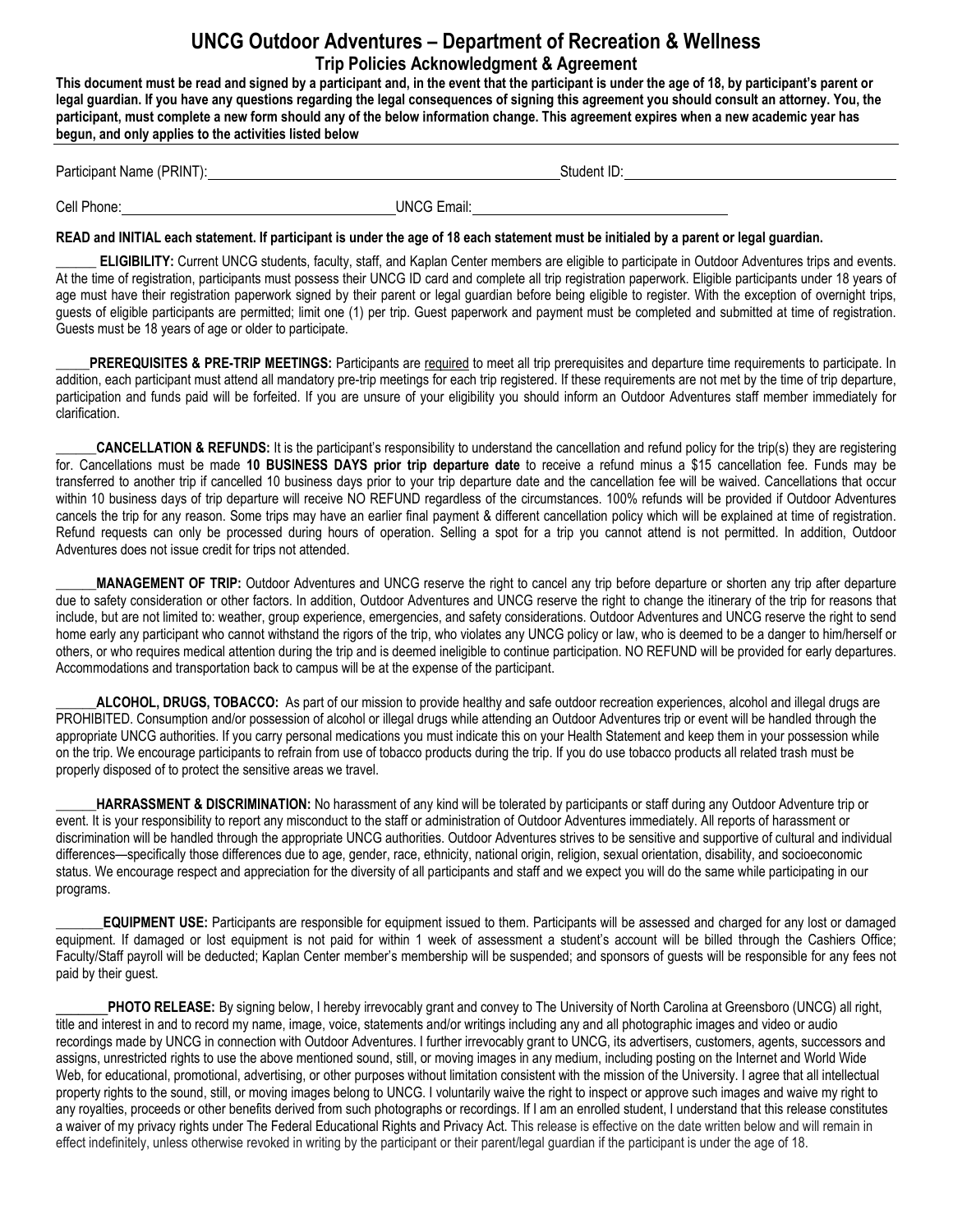## **UNCG Outdoor Adventures – Department of Recreation & Wellness Trip Policies Acknowledgment & Agreement**

**This document must be read and signed by a participant and, in the event that the participant is under the age of 18, by participant's parent or legal guardian. If you have any questions regarding the legal consequences of signing this agreement you should consult an attorney. You, the participant, must complete a new form should any of the below information change. This agreement expires when a new academic year has begun, and only applies to the activities listed below**

Participant Name (PRINT): Student ID:

Cell Phone: UNCG Email:

## **READ and INITIAL each statement. If participant is under the age of 18 each statement must be initialed by a parent or legal guardian.**

**ELIGIBILITY:** Current UNCG students, faculty, staff, and Kaplan Center members are eligible to participate in Outdoor Adventures trips and events. At the time of registration, participants must possess their UNCG ID card and complete all trip registration paperwork. Eligible participants under 18 years of age must have their registration paperwork signed by their parent or legal guardian before being eligible to register. With the exception of overnight trips, guests of eligible participants are permitted; limit one (1) per trip. Guest paperwork and payment must be completed and submitted at time of registration. Guests must be 18 years of age or older to participate.

**PREREQUISITES & PRE-TRIP MEETINGS:** Participants are required to meet all trip prerequisites and departure time requirements to participate. In addition, each participant must attend all mandatory pre-trip meetings for each trip registered. If these requirements are not met by the time of trip departure, participation and funds paid will be forfeited. If you are unsure of your eligibility you should inform an Outdoor Adventures staff member immediately for clarification.

**CANCELLATION & REFUNDS:** It is the participant's responsibility to understand the cancellation and refund policy for the trip(s) they are registering for. Cancellations must be made **10 BUSINESS DAYS prior trip departure date** to receive a refund minus a \$15 cancellation fee. Funds may be transferred to another trip if cancelled 10 business days prior to your trip departure date and the cancellation fee will be waived. Cancellations that occur within 10 business days of trip departure will receive NO REFUND regardless of the circumstances. 100% refunds will be provided if Outdoor Adventures cancels the trip for any reason. Some trips may have an earlier final payment & different cancellation policy which will be explained at time of registration. Refund requests can only be processed during hours of operation. Selling a spot for a trip you cannot attend is not permitted. In addition, Outdoor Adventures does not issue credit for trips not attended.

**\_\_\_\_\_\_MANAGEMENT OF TRIP:** Outdoor Adventures and UNCG reserve the right to cancel any trip before departure or shorten any trip after departure due to safety consideration or other factors. In addition, Outdoor Adventures and UNCG reserve the right to change the itinerary of the trip for reasons that include, but are not limited to: weather, group experience, emergencies, and safety considerations. Outdoor Adventures and UNCG reserve the right to send home early any participant who cannot withstand the rigors of the trip, who violates any UNCG policy or law, who is deemed to be a danger to him/herself or others, or who requires medical attention during the trip and is deemed ineligible to continue participation. NO REFUND will be provided for early departures. Accommodations and transportation back to campus will be at the expense of the participant.

**\_\_\_\_\_\_ALCOHOL, DRUGS, TOBACCO:** As part of our mission to provide healthy and safe outdoor recreation experiences, alcohol and illegal drugs are PROHIBITED. Consumption and/or possession of alcohol or illegal drugs while attending an Outdoor Adventures trip or event will be handled through the appropriate UNCG authorities. If you carry personal medications you must indicate this on your Health Statement and keep them in your possession while on the trip. We encourage participants to refrain from use of tobacco products during the trip. If you do use tobacco products all related trash must be properly disposed of to protect the sensitive areas we travel.

HARRASSMENT & DISCRIMINATION: No harassment of any kind will be tolerated by participants or staff during any Outdoor Adventure trip or event. It is your responsibility to report any misconduct to the staff or administration of Outdoor Adventures immediately. All reports of harassment or discrimination will be handled through the appropriate UNCG authorities. Outdoor Adventures strives to be sensitive and supportive of cultural and individual differences—specifically those differences due to age, gender, race, ethnicity, national origin, religion, sexual orientation, disability, and socioeconomic status. We encourage respect and appreciation for the diversity of all participants and staff and we expect you will do the same while participating in our programs.

**\_\_\_\_\_\_\_EQUIPMENT USE:** Participants are responsible for equipment issued to them. Participants will be assessed and charged for any lost or damaged equipment. If damaged or lost equipment is not paid for within 1 week of assessment a student's account will be billed through the Cashiers Office; Faculty/Staff payroll will be deducted; Kaplan Center member's membership will be suspended; and sponsors of guests will be responsible for any fees not paid by their guest.

**\_\_\_\_\_\_\_PHOTO RELEASE:** By signing below, I hereby irrevocably grant and convey to The University of North Carolina at Greensboro (UNCG) all right, title and interest in and to record my name, image, voice, statements and/or writings including any and all photographic images and video or audio recordings made by UNCG in connection with Outdoor Adventures. I further irrevocably grant to UNCG, its advertisers, customers, agents, successors and assigns, unrestricted rights to use the above mentioned sound, still, or moving images in any medium, including posting on the Internet and World Wide Web, for educational, promotional, advertising, or other purposes without limitation consistent with the mission of the University. I agree that all intellectual property rights to the sound, still, or moving images belong to UNCG. I voluntarily waive the right to inspect or approve such images and waive my right to any royalties, proceeds or other benefits derived from such photographs or recordings. If I am an enrolled student, I understand that this release constitutes a waiver of my privacy rights under The Federal Educational Rights and Privacy Act. This release is effective on the date written below and will remain in effect indefinitely, unless otherwise revoked in writing by the participant or their parent/legal guardian if the participant is under the age of 18.